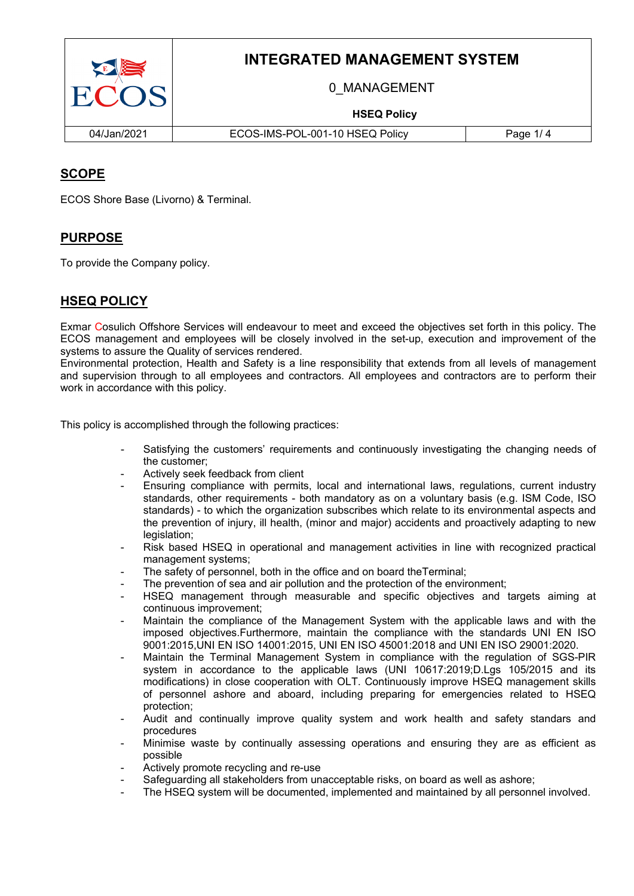

# **INTEGRATED MANAGEMENT SYSTEM**

0\_MANAGEMENT

### **HSEQ Policy**

04/Jan/2021 ECOS-IMS-POL-001-10 HSEQ Policy Page 1/ 4

## **SCOPE**

ECOS Shore Base (Livorno) & Terminal.

### **PURPOSE**

To provide the Company policy.

### **HSEQ POLICY**

Exmar Cosulich Offshore Services will endeavour to meet and exceed the objectives set forth in this policy. The ECOS management and employees will be closely involved in the set-up, execution and improvement of the systems to assure the Quality of services rendered.

Environmental protection, Health and Safety is a line responsibility that extends from all levels of management and supervision through to all employees and contractors. All employees and contractors are to perform their work in accordance with this policy.

This policy is accomplished through the following practices:

- Satisfying the customers' requirements and continuously investigating the changing needs of the customer;
- Actively seek feedback from client
- Ensuring compliance with permits, local and international laws, regulations, current industry standards, other requirements - both mandatory as on a voluntary basis (e.g. ISM Code, ISO standards) - to which the organization subscribes which relate to its environmental aspects and the prevention of injury, ill health, (minor and major) accidents and proactively adapting to new legislation:
- Risk based HSEQ in operational and management activities in line with recognized practical management systems;
- The safety of personnel, both in the office and on board theTerminal;
- The prevention of sea and air pollution and the protection of the environment;
- HSEQ management through measurable and specific objectives and targets aiming at continuous improvement;
- Maintain the compliance of the Management System with the applicable laws and with the imposed objectives.Furthermore, maintain the compliance with the standards UNI EN ISO 9001:2015,UNI EN ISO 14001:2015, UNI EN ISO 45001:2018 and UNI EN ISO 29001:2020.
- Maintain the Terminal Management System in compliance with the regulation of SGS-PIR system in accordance to the applicable laws (UNI 10617:2019;D.Lgs 105/2015 and its modifications) in close cooperation with OLT. Continuously improve HSEQ management skills of personnel ashore and aboard, including preparing for emergencies related to HSEQ protection;
- Audit and continually improve quality system and work health and safety standars and procedures
- Minimise waste by continually assessing operations and ensuring they are as efficient as possible
- Actively promote recycling and re-use
- Safeguarding all stakeholders from unacceptable risks, on board as well as ashore;
- The HSEQ system will be documented, implemented and maintained by all personnel involved.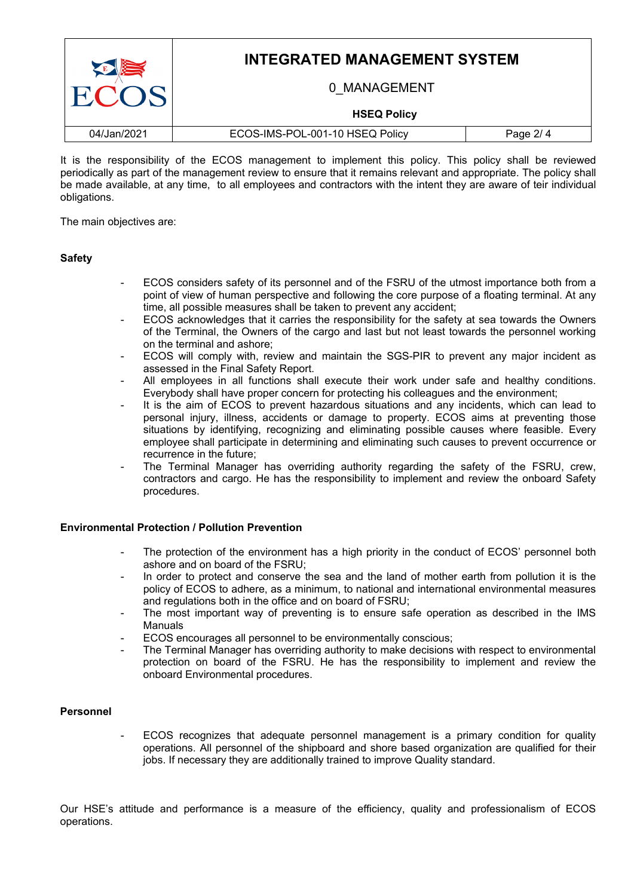| E<br>ECOS.  | <b>INTEGRATED MANAGEMENT SYSTEM</b> |          |  |
|-------------|-------------------------------------|----------|--|
|             | 0 MANAGEMENT                        |          |  |
|             | <b>HSEQ Policy</b>                  |          |  |
| 04/Jan/2021 | ECOS-IMS-POL-001-10 HSEQ Policy     | Page 2/4 |  |

It is the responsibility of the ECOS management to implement this policy. This policy shall be reviewed periodically as part of the management review to ensure that it remains relevant and appropriate. The policy shall be made available, at any time, to all employees and contractors with the intent they are aware of teir individual obligations.

The main objectives are:

#### **Safety**

- ECOS considers safety of its personnel and of the FSRU of the utmost importance both from a point of view of human perspective and following the core purpose of a floating terminal. At any time, all possible measures shall be taken to prevent any accident;
- ECOS acknowledges that it carries the responsibility for the safety at sea towards the Owners of the Terminal, the Owners of the cargo and last but not least towards the personnel working on the terminal and ashore;
- ECOS will comply with, review and maintain the SGS-PIR to prevent any major incident as assessed in the Final Safety Report.
- All employees in all functions shall execute their work under safe and healthy conditions. Everybody shall have proper concern for protecting his colleagues and the environment;
- It is the aim of ECOS to prevent hazardous situations and any incidents, which can lead to personal injury, illness, accidents or damage to property. ECOS aims at preventing those situations by identifying, recognizing and eliminating possible causes where feasible. Every employee shall participate in determining and eliminating such causes to prevent occurrence or recurrence in the future;
- The Terminal Manager has overriding authority regarding the safety of the FSRU, crew, contractors and cargo. He has the responsibility to implement and review the onboard Safety procedures.

#### **Environmental Protection / Pollution Prevention**

- The protection of the environment has a high priority in the conduct of ECOS' personnel both ashore and on board of the FSRU;
- In order to protect and conserve the sea and the land of mother earth from pollution it is the policy of ECOS to adhere, as a minimum, to national and international environmental measures and regulations both in the office and on board of FSRU;
- The most important way of preventing is to ensure safe operation as described in the IMS Manuals
- ECOS encourages all personnel to be environmentally conscious;
- The Terminal Manager has overriding authority to make decisions with respect to environmental protection on board of the FSRU. He has the responsibility to implement and review the onboard Environmental procedures.

#### **Personnel**

ECOS recognizes that adequate personnel management is a primary condition for quality operations. All personnel of the shipboard and shore based organization are qualified for their jobs. If necessary they are additionally trained to improve Quality standard.

Our HSE's attitude and performance is a measure of the efficiency, quality and professionalism of ECOS operations.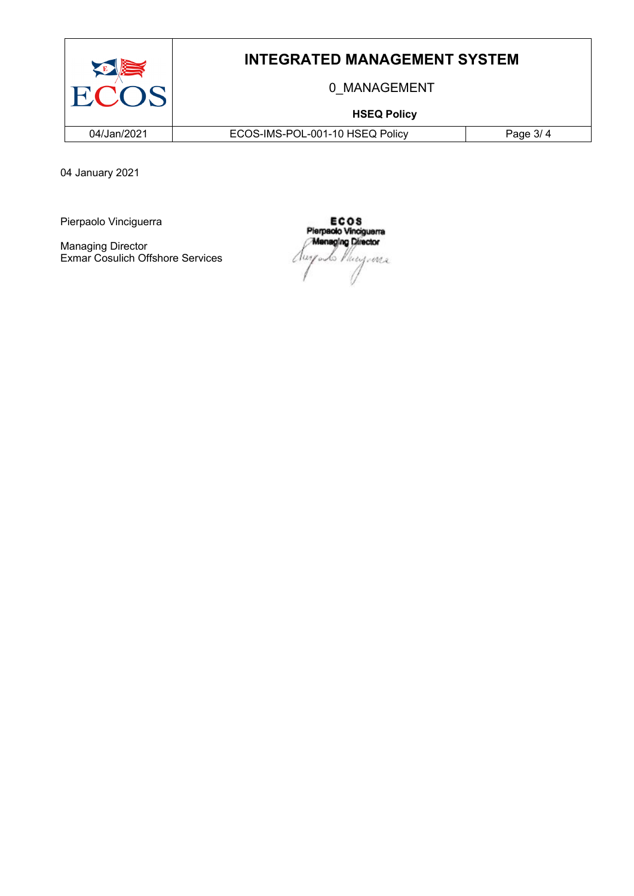

## **INTEGRATED MANAGEMENT SYSTEM**

0\_MANAGEMENT

### **HSEQ Policy**

04/Jan/2021 ECOS-IMS-POL-001-10 HSEQ Policy Page 3/ 4

04 January 2021

Pierpaolo Vinciguerra

Managing Director Exmar Cosulich Offshore Services

ECOS<br>Pierpaolo Vinciguerra **Menaging Director** La Phicizonia Aur